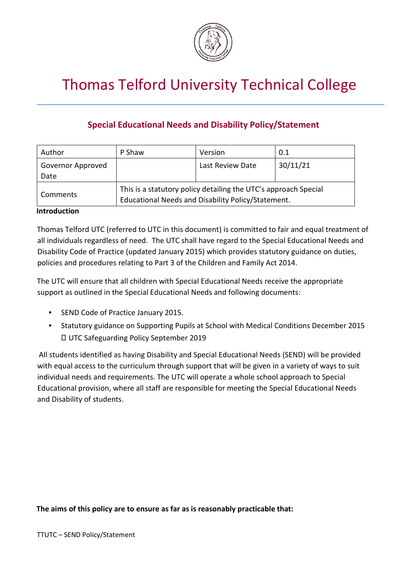

# Thomas Telford University Technical College

# **Special Educational Needs and Disability Policy/Statement**

| Author                    | P Shaw                                                                                                                | Version          | 0.1      |
|---------------------------|-----------------------------------------------------------------------------------------------------------------------|------------------|----------|
| Governor Approved<br>Date |                                                                                                                       | Last Review Date | 30/11/21 |
| Comments                  | This is a statutory policy detailing the UTC's approach Special<br>Educational Needs and Disability Policy/Statement. |                  |          |

# **Introduction**

Thomas Telford UTC (referred to UTC in this document) is committed to fair and equal treatment of all individuals regardless of need. The UTC shall have regard to the Special Educational Needs and Disability Code of Practice (updated January 2015) which provides statutory guidance on duties, policies and procedures relating to Part 3 of the Children and Family Act 2014.

The UTC will ensure that all children with Special Educational Needs receive the appropriate support as outlined in the Special Educational Needs and following documents:

- SEND Code of Practice January 2015.
- Statutory guidance on Supporting Pupils at School with Medical Conditions December 2015 UTC Safeguarding Policy September 2019

All students identified as having Disability and Special Educational Needs (SEND) will be provided with equal access to the curriculum through support that will be given in a variety of ways to suit individual needs and requirements. The UTC will operate a whole school approach to Special Educational provision, where all staff are responsible for meeting the Special Educational Needs and Disability of students.

**The aims of this policy are to ensure as far as is reasonably practicable that:**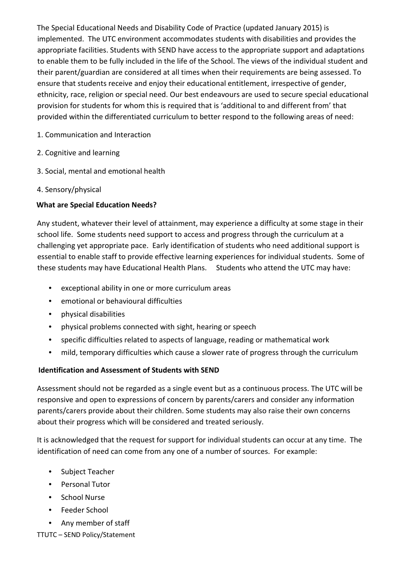The Special Educational Needs and Disability Code of Practice (updated January 2015) is implemented. The UTC environment accommodates students with disabilities and provides the appropriate facilities. Students with SEND have access to the appropriate support and adaptations to enable them to be fully included in the life of the School. The views of the individual student and their parent/guardian are considered at all times when their requirements are being assessed. To ensure that students receive and enjoy their educational entitlement, irrespective of gender, ethnicity, race, religion or special need. Our best endeavours are used to secure special educational provision for students for whom this is required that is 'additional to and different from' that provided within the differentiated curriculum to better respond to the following areas of need:

- 1. Communication and Interaction
- 2. Cognitive and learning
- 3. Social, mental and emotional health
- 4. Sensory/physical

# **What are Special Education Needs?**

Any student, whatever their level of attainment, may experience a difficulty at some stage in their school life. Some students need support to access and progress through the curriculum at a challenging yet appropriate pace. Early identification of students who need additional support is essential to enable staff to provide effective learning experiences for individual students. Some of these students may have Educational Health Plans. Students who attend the UTC may have:

- exceptional ability in one or more curriculum areas
- emotional or behavioural difficulties
- physical disabilities
- physical problems connected with sight, hearing or speech
- specific difficulties related to aspects of language, reading or mathematical work
- mild, temporary difficulties which cause a slower rate of progress through the curriculum

# **Identification and Assessment of Students with SEND**

Assessment should not be regarded as a single event but as a continuous process. The UTC will be responsive and open to expressions of concern by parents/carers and consider any information parents/carers provide about their children. Some students may also raise their own concerns about their progress which will be considered and treated seriously.

It is acknowledged that the request for support for individual students can occur at any time. The identification of need can come from any one of a number of sources. For example:

- Subject Teacher
- Personal Tutor
- School Nurse
- Feeder School
- Any member of staff

TTUTC – SEND Policy/Statement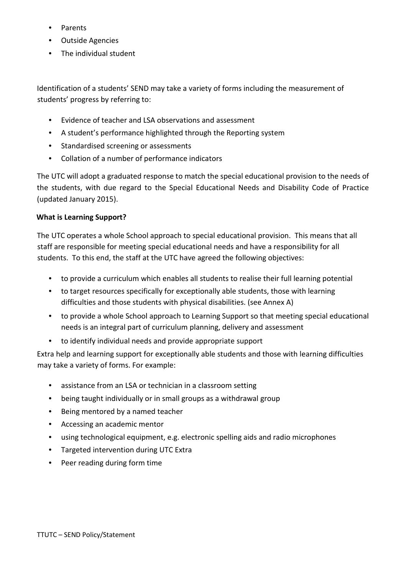- Parents
- Outside Agencies
- The individual student

Identification of a students' SEND may take a variety of forms including the measurement of students' progress by referring to:

- Evidence of teacher and LSA observations and assessment
- A student's performance highlighted through the Reporting system
- Standardised screening or assessments
- Collation of a number of performance indicators

The UTC will adopt a graduated response to match the special educational provision to the needs of the students, with due regard to the Special Educational Needs and Disability Code of Practice (updated January 2015).

# **What is Learning Support?**

The UTC operates a whole School approach to special educational provision. This means that all staff are responsible for meeting special educational needs and have a responsibility for all students. To this end, the staff at the UTC have agreed the following objectives:

- to provide a curriculum which enables all students to realise their full learning potential
- to target resources specifically for exceptionally able students, those with learning difficulties and those students with physical disabilities. (see Annex A)
- to provide a whole School approach to Learning Support so that meeting special educational needs is an integral part of curriculum planning, delivery and assessment
- to identify individual needs and provide appropriate support

Extra help and learning support for exceptionally able students and those with learning difficulties may take a variety of forms. For example:

- assistance from an LSA or technician in a classroom setting
- being taught individually or in small groups as a withdrawal group
- Being mentored by a named teacher
- Accessing an academic mentor
- using technological equipment, e.g. electronic spelling aids and radio microphones
- Targeted intervention during UTC Extra
- Peer reading during form time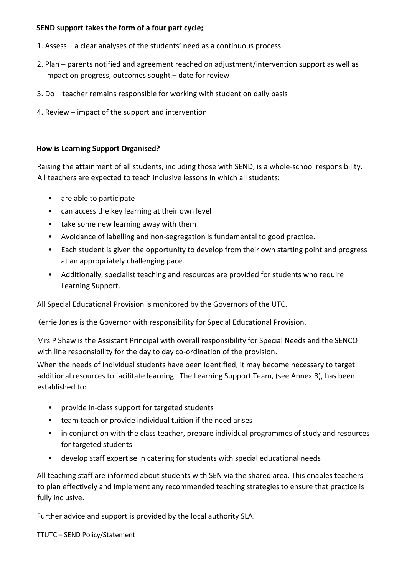#### **SEND support takes the form of a four part cycle;**

- 1. Assess a clear analyses of the students' need as a continuous process
- 2. Plan parents notified and agreement reached on adjustment/intervention support as well as impact on progress, outcomes sought – date for review
- 3. Do teacher remains responsible for working with student on daily basis
- 4. Review impact of the support and intervention

#### **How is Learning Support Organised?**

Raising the attainment of all students, including those with SEND, is a whole-school responsibility. All teachers are expected to teach inclusive lessons in which all students:

- are able to participate
- can access the key learning at their own level
- take some new learning away with them
- Avoidance of labelling and non-segregation is fundamental to good practice.
- Each student is given the opportunity to develop from their own starting point and progress at an appropriately challenging pace.
- Additionally, specialist teaching and resources are provided for students who require Learning Support.

All Special Educational Provision is monitored by the Governors of the UTC.

Kerrie Jones is the Governor with responsibility for Special Educational Provision.

Mrs P Shaw is the Assistant Principal with overall responsibility for Special Needs and the SENCO with line responsibility for the day to day co-ordination of the provision.

When the needs of individual students have been identified, it may become necessary to target additional resources to facilitate learning. The Learning Support Team, (see Annex B), has been established to:

- provide in-class support for targeted students
- team teach or provide individual tuition if the need arises
- in conjunction with the class teacher, prepare individual programmes of study and resources for targeted students
- develop staff expertise in catering for students with special educational needs

All teaching staff are informed about students with SEN via the shared area. This enables teachers to plan effectively and implement any recommended teaching strategies to ensure that practice is fully inclusive.

Further advice and support is provided by the local authority SLA.

TTUTC – SEND Policy/Statement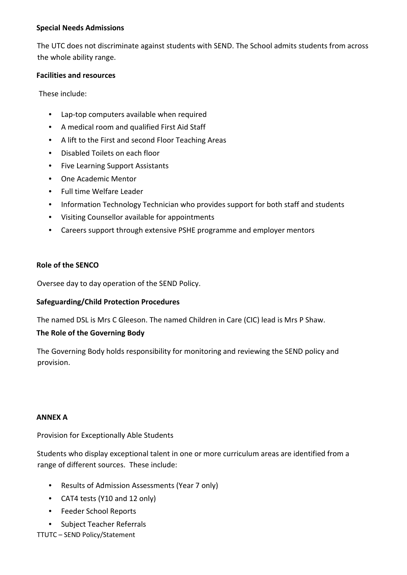#### **Special Needs Admissions**

The UTC does not discriminate against students with SEND. The School admits students from across the whole ability range.

#### **Facilities and resources**

These include:

- Lap-top computers available when required
- A medical room and qualified First Aid Staff
- A lift to the First and second Floor Teaching Areas
- Disabled Toilets on each floor
- Five Learning Support Assistants
- One Academic Mentor
- Full time Welfare Leader
- Information Technology Technician who provides support for both staff and students
- Visiting Counsellor available for appointments
- Careers support through extensive PSHE programme and employer mentors

# **Role of the SENCO**

Oversee day to day operation of the SEND Policy.

# **Safeguarding/Child Protection Procedures**

The named DSL is Mrs C Gleeson. The named Children in Care (CIC) lead is Mrs P Shaw.

# **The Role of the Governing Body**

The Governing Body holds responsibility for monitoring and reviewing the SEND policy and provision.

#### **ANNEX A**

Provision for Exceptionally Able Students

Students who display exceptional talent in one or more curriculum areas are identified from a range of different sources. These include:

- Results of Admission Assessments (Year 7 only)
- CAT4 tests (Y10 and 12 only)
- Feeder School Reports
- Subject Teacher Referrals

TTUTC – SEND Policy/Statement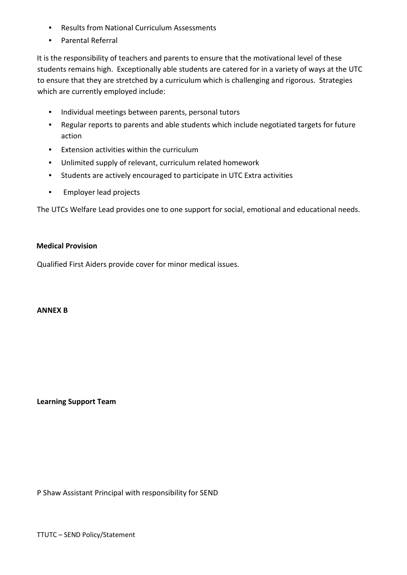- Results from National Curriculum Assessments
- Parental Referral

It is the responsibility of teachers and parents to ensure that the motivational level of these students remains high. Exceptionally able students are catered for in a variety of ways at the UTC to ensure that they are stretched by a curriculum which is challenging and rigorous. Strategies which are currently employed include:

- Individual meetings between parents, personal tutors
- Regular reports to parents and able students which include negotiated targets for future action
- Extension activities within the curriculum
- Unlimited supply of relevant, curriculum related homework
- Students are actively encouraged to participate in UTC Extra activities
- Employer lead projects

The UTCs Welfare Lead provides one to one support for social, emotional and educational needs.

#### **Medical Provision**

Qualified First Aiders provide cover for minor medical issues.

#### **ANNEX B**

#### **Learning Support Team**

P Shaw Assistant Principal with responsibility for SEND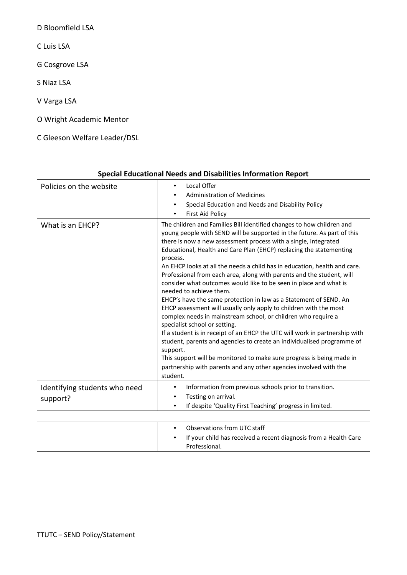D Bloomfield LSA

C Luis LSA

G Cosgrove LSA

S Niaz LSA

V Varga LSA

O Wright Academic Mentor

C Gleeson Welfare Leader/DSL

| Policies on the website                   | Local Offer<br><b>Administration of Medicines</b><br>٠<br>Special Education and Needs and Disability Policy<br>٠<br><b>First Aid Policy</b><br>٠                                                                                                                                                                                                                                                                                                                                                                                                                                                                                                                                                                                                                                                                                                                                                                                                                                                                                                                                                                                        |
|-------------------------------------------|-----------------------------------------------------------------------------------------------------------------------------------------------------------------------------------------------------------------------------------------------------------------------------------------------------------------------------------------------------------------------------------------------------------------------------------------------------------------------------------------------------------------------------------------------------------------------------------------------------------------------------------------------------------------------------------------------------------------------------------------------------------------------------------------------------------------------------------------------------------------------------------------------------------------------------------------------------------------------------------------------------------------------------------------------------------------------------------------------------------------------------------------|
| What is an EHCP?                          | The children and Families Bill identified changes to how children and<br>young people with SEND will be supported in the future. As part of this<br>there is now a new assessment process with a single, integrated<br>Educational, Health and Care Plan (EHCP) replacing the statementing<br>process.<br>An EHCP looks at all the needs a child has in education, health and care.<br>Professional from each area, along with parents and the student, will<br>consider what outcomes would like to be seen in place and what is<br>needed to achieve them.<br>EHCP's have the same protection in law as a Statement of SEND. An<br>EHCP assessment will usually only apply to children with the most<br>complex needs in mainstream school, or children who require a<br>specialist school or setting.<br>If a student is in receipt of an EHCP the UTC will work in partnership with<br>student, parents and agencies to create an individualised programme of<br>support.<br>This support will be monitored to make sure progress is being made in<br>partnership with parents and any other agencies involved with the<br>student. |
| Identifying students who need<br>support? | Information from previous schools prior to transition.<br>٠<br>Testing on arrival.<br>٠<br>If despite 'Quality First Teaching' progress in limited.<br>٠                                                                                                                                                                                                                                                                                                                                                                                                                                                                                                                                                                                                                                                                                                                                                                                                                                                                                                                                                                                |

# **Special Educational Needs and Disabilities Information Report**

|  | Observations from UTC staff                                                       |
|--|-----------------------------------------------------------------------------------|
|  | If your child has received a recent diagnosis from a Health Care<br>Professional. |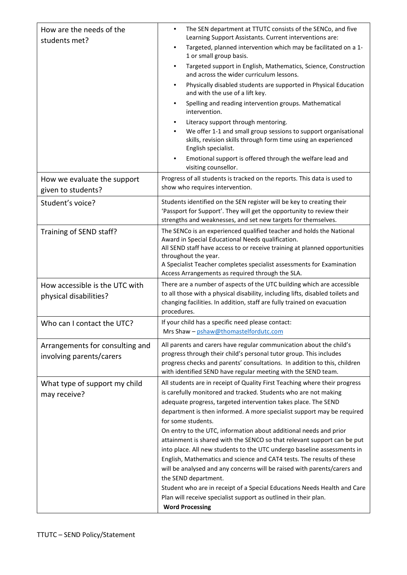| How are the needs of the<br>students met?                   | The SEN department at TTUTC consists of the SENCo, and five<br>$\bullet$<br>Learning Support Assistants. Current interventions are:<br>Targeted, planned intervention which may be facilitated on a 1-<br>1 or small group basis.<br>Targeted support in English, Mathematics, Science, Construction<br>$\bullet$<br>and across the wider curriculum lessons.<br>Physically disabled students are supported in Physical Education<br>٠<br>and with the use of a lift key.<br>Spelling and reading intervention groups. Mathematical<br>intervention.<br>Literacy support through mentoring.<br>٠<br>We offer 1-1 and small group sessions to support organisational<br>$\bullet$<br>skills, revision skills through form time using an experienced<br>English specialist.<br>Emotional support is offered through the welfare lead and<br>visiting counsellor.                                   |
|-------------------------------------------------------------|--------------------------------------------------------------------------------------------------------------------------------------------------------------------------------------------------------------------------------------------------------------------------------------------------------------------------------------------------------------------------------------------------------------------------------------------------------------------------------------------------------------------------------------------------------------------------------------------------------------------------------------------------------------------------------------------------------------------------------------------------------------------------------------------------------------------------------------------------------------------------------------------------|
| How we evaluate the support<br>given to students?           | Progress of all students is tracked on the reports. This data is used to<br>show who requires intervention.                                                                                                                                                                                                                                                                                                                                                                                                                                                                                                                                                                                                                                                                                                                                                                                      |
| Student's voice?                                            | Students identified on the SEN register will be key to creating their<br>'Passport for Support'. They will get the opportunity to review their<br>strengths and weaknesses, and set new targets for themselves.                                                                                                                                                                                                                                                                                                                                                                                                                                                                                                                                                                                                                                                                                  |
| Training of SEND staff?                                     | The SENCo is an experienced qualified teacher and holds the National<br>Award in Special Educational Needs qualification.<br>All SEND staff have access to or receive training at planned opportunities<br>throughout the year.<br>A Specialist Teacher completes specialist assessments for Examination<br>Access Arrangements as required through the SLA.                                                                                                                                                                                                                                                                                                                                                                                                                                                                                                                                     |
| How accessible is the UTC with<br>physical disabilities?    | There are a number of aspects of the UTC building which are accessible<br>to all those with a physical disability, including lifts, disabled toilets and<br>changing facilities. In addition, staff are fully trained on evacuation<br>procedures.                                                                                                                                                                                                                                                                                                                                                                                                                                                                                                                                                                                                                                               |
| Who can I contact the UTC?                                  | If your child has a specific need please contact:<br>Mrs Shaw - pshaw@thomastelfordutc.com                                                                                                                                                                                                                                                                                                                                                                                                                                                                                                                                                                                                                                                                                                                                                                                                       |
| Arrangements for consulting and<br>involving parents/carers | All parents and carers have regular communication about the child's<br>progress through their child's personal tutor group. This includes<br>progress checks and parents' consultations. In addition to this, children<br>with identified SEND have regular meeting with the SEND team.                                                                                                                                                                                                                                                                                                                                                                                                                                                                                                                                                                                                          |
| What type of support my child<br>may receive?               | All students are in receipt of Quality First Teaching where their progress<br>is carefully monitored and tracked. Students who are not making<br>adequate progress, targeted intervention takes place. The SEND<br>department is then informed. A more specialist support may be required<br>for some students.<br>On entry to the UTC, information about additional needs and prior<br>attainment is shared with the SENCO so that relevant support can be put<br>into place. All new students to the UTC undergo baseline assessments in<br>English, Mathematics and science and CAT4 tests. The results of these<br>will be analysed and any concerns will be raised with parents/carers and<br>the SEND department.<br>Student who are in receipt of a Special Educations Needs Health and Care<br>Plan will receive specialist support as outlined in their plan.<br><b>Word Processing</b> |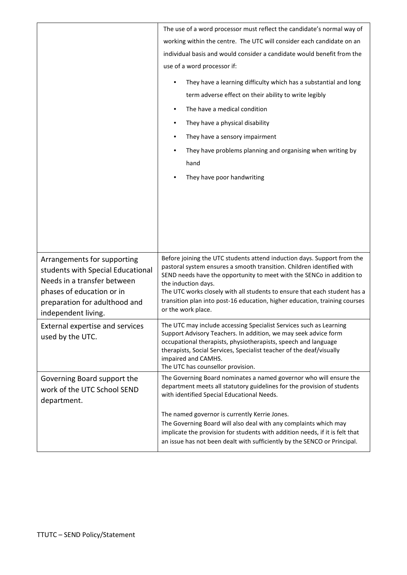|                                                                                                                                                                                      | The use of a word processor must reflect the candidate's normal way of<br>working within the centre. The UTC will consider each candidate on an<br>individual basis and would consider a candidate would benefit from the<br>use of a word processor if:<br>They have a learning difficulty which has a substantial and long<br>term adverse effect on their ability to write legibly<br>The have a medical condition<br>٠<br>They have a physical disability<br>٠<br>They have a sensory impairment<br>٠ |
|--------------------------------------------------------------------------------------------------------------------------------------------------------------------------------------|-----------------------------------------------------------------------------------------------------------------------------------------------------------------------------------------------------------------------------------------------------------------------------------------------------------------------------------------------------------------------------------------------------------------------------------------------------------------------------------------------------------|
|                                                                                                                                                                                      | They have problems planning and organising when writing by<br>$\bullet$<br>hand<br>They have poor handwriting                                                                                                                                                                                                                                                                                                                                                                                             |
| Arrangements for supporting<br>students with Special Educational<br>Needs in a transfer between<br>phases of education or in<br>preparation for adulthood and<br>independent living. | Before joining the UTC students attend induction days. Support from the<br>pastoral system ensures a smooth transition. Children identified with<br>SEND needs have the opportunity to meet with the SENCo in addition to<br>the induction days.<br>The UTC works closely with all students to ensure that each student has a<br>transition plan into post-16 education, higher education, training courses<br>or the work place.                                                                         |
| <b>External expertise and services</b><br>used by the UTC.                                                                                                                           | The UTC may include accessing Specialist Services such as Learning<br>Support Advisory Teachers. In addition, we may seek advice form<br>occupational therapists, physiotherapists, speech and language<br>therapists, Social Services, Specialist teacher of the deaf/visually<br>impaired and CAMHS.<br>The UTC has counsellor provision.                                                                                                                                                               |
| Governing Board support the<br>work of the UTC School SEND<br>department.                                                                                                            | The Governing Board nominates a named governor who will ensure the<br>department meets all statutory guidelines for the provision of students<br>with identified Special Educational Needs.<br>The named governor is currently Kerrie Jones.<br>The Governing Board will also deal with any complaints which may<br>implicate the provision for students with addition needs, if it is felt that<br>an issue has not been dealt with sufficiently by the SENCO or Principal.                              |